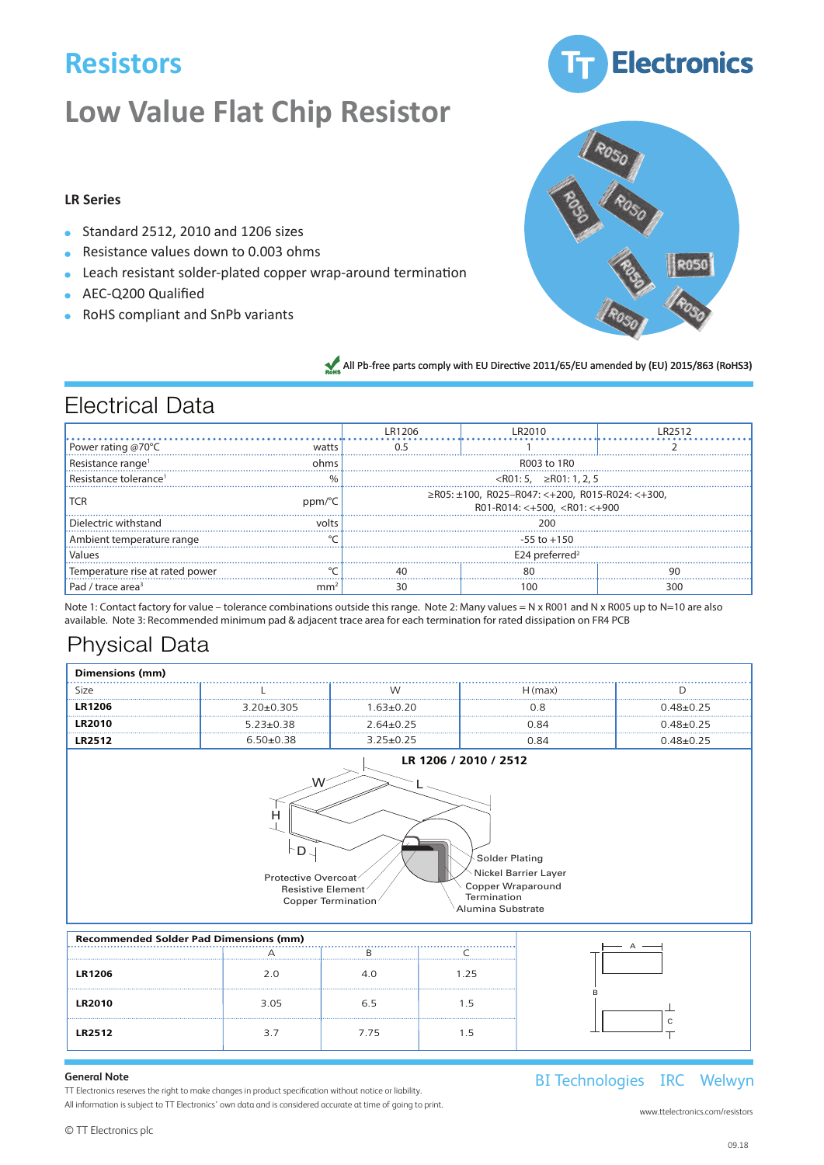### $Resistors$ en value Flatten value Flatten value Flatten value Flatten value Flatten value Flatten value Flatten value Fla<br>1990 – John Stevens value Flatten value Flatten value Flatten value Flatten value Flatten value Flatten value Low Value Flat

#### **Low Value Flat Chip Resistor Low Value Flat Chip Resistor** Low value Flat C Low Value Flat chip Resistor Resistor Resistor Resistor Resistor Resistor Resistor Resistor Resistor Resistor Resistor Resist<br>Resistor Resistor Resistor Resistor Resistor Resistor Resistor Resistor Resistor Resistor Resistor Resistor Re **Low Value Flat Chip Resistor** Low value Flat Cr Low Value Flat ( chip Resistor<br>Chip Resistor

# LR Series and the series of the series of the series of the series of the series of the series of the series of the series of the series of the series of the series of the series of the series of the series of the series o

- Standard 2512, 2010 and 1206 sizes  $\bullet$  Standard 2512, 2010 and 1206 sizes LRC/LRF Series **• Resistance values down to 0.003 ohms • Leach resistant solder-plated copper Standard 2512, 2010 and 1206 sizes** LRC/LRF Series **• Resistance values down to 0.003 ohms • Leach resistant solder-plated copper wrap-around termination**
- Resistance values down to 0.003 ohms  $\mathbf{H}$  and  $\mathbf{H}$  and  $\mathbf{H}$  and  $\mathbf{H}$  are  $\mathbf{H}$  and  $\mathbf{H}$

Electrical Data

Electrical Data

- Resistance values down to 0.005 onlins<br>• Leach resistant solder-plated copper wrap-around termination **•** Leach resistant solder-plated copper wrap-around **AEC-Q200** Qualified **• AEC-Q200 Qualified**
- AEC-Q200 Qualified
- **•** RoHS compliant and SnPb variants





All Pb-free parts comply with EU Directive 2011/65/EU amended by (EU) 2015/863 (RoHS3)

|                                                     |                                                                                                                                                                                                                                            |                                                                                                         |                                                                        |                 | <b>LR1206</b>                                                                                                                                                                                                   | <b>LR2010</b>                                     | <b>LR2512</b>               |
|-----------------------------------------------------|--------------------------------------------------------------------------------------------------------------------------------------------------------------------------------------------------------------------------------------------|---------------------------------------------------------------------------------------------------------|------------------------------------------------------------------------|-----------------|-----------------------------------------------------------------------------------------------------------------------------------------------------------------------------------------------------------------|---------------------------------------------------|-----------------------------|
| Electrical                                          | Power rating at 70°C                                                                                                                                                                                                                       |                                                                                                         |                                                                        | watts           | 0.5                                                                                                                                                                                                             | 1.0                                               | $1.5/2.0*$                  |
|                                                     | Resistance range                                                                                                                                                                                                                           |                                                                                                         |                                                                        | ohms            | 0R010 to 1R                                                                                                                                                                                                     | 0R003 to 1R                                       | 0R003 to 1                  |
| Power rating @70°C<br>Resistance range <sup>1</sup> | Dielectric withstanding voltage                                                                                                                                                                                                            |                                                                                                         |                                                                        | volts           | 200                                                                                                                                                                                                             | 200                                               | 200                         |
| Resistance tolerance                                | <b>TCR</b>                                                                                                                                                                                                                                 |                                                                                                         |                                                                        | ppm/°C          |                                                                                                                                                                                                                 | ±100 (Contact factory for value below 0.050 ohms) |                             |
|                                                     | Resistance tolerance                                                                                                                                                                                                                       |                                                                                                         |                                                                        | $\%$            |                                                                                                                                                                                                                 | ≤R005 5%, >R005 1, 2, 5%                          |                             |
| <b>TCR</b>                                          | Temperature rise at rated power                                                                                                                                                                                                            |                                                                                                         |                                                                        | °C              | 40                                                                                                                                                                                                              | 80                                                | 90                          |
|                                                     | Dielectric withstand Pad and trace area for max power rating $@ 70°C$                                                                                                                                                                      |                                                                                                         |                                                                        | mm <sup>2</sup> | 30                                                                                                                                                                                                              | 30                                                | 100                         |
|                                                     | Ambient temperature range Watts with total solder pad and trace size of 300 mm <sup>2</sup>                                                                                                                                                |                                                                                                         |                                                                        |                 | $-55$ to $+150$                                                                                                                                                                                                 |                                                   |                             |
| Values                                              |                                                                                                                                                                                                                                            |                                                                                                         |                                                                        |                 |                                                                                                                                                                                                                 |                                                   |                             |
| Temperature rise at rated power                     |                                                                                                                                                                                                                                            | °C                                                                                                      | 40                                                                     |                 | 80                                                                                                                                                                                                              | 90                                                |                             |
| Pad / trace area <sup>3</sup>                       | <u>Physical Data</u>                                                                                                                                                                                                                       | mm <sup>2</sup>                                                                                         | 30                                                                     |                 | 100                                                                                                                                                                                                             | 300                                               |                             |
| Note 1: Contact facto                               | Dimensions (mm)                                                                                                                                                                                                                            |                                                                                                         |                                                                        |                 |                                                                                                                                                                                                                 |                                                   |                             |
| available. Note 3: Red                              | Size                                                                                                                                                                                                                                       |                                                                                                         |                                                                        | W               |                                                                                                                                                                                                                 | H(max)                                            | D                           |
| Physical                                            | <b>LR1206</b>                                                                                                                                                                                                                              |                                                                                                         | $3.20 \pm 0.305$                                                       | $1.63 \pm 0.20$ |                                                                                                                                                                                                                 | 0.8                                               | $0.48 \pm 0.25$             |
|                                                     | <b>LR2010</b>                                                                                                                                                                                                                              |                                                                                                         | $5.23 \pm 0.38$                                                        | $2.64 \pm 0.25$ |                                                                                                                                                                                                                 | 0.84                                              | $0.48 + 0.25$               |
| Dimensions (mm                                      | <b>LR2512</b>                                                                                                                                                                                                                              |                                                                                                         | $6.50 + 0.38$                                                          | $3.25 \pm 0.25$ |                                                                                                                                                                                                                 | 0.84                                              | $0.48 \pm 0.25$             |
| Size                                                |                                                                                                                                                                                                                                            |                                                                                                         |                                                                        |                 |                                                                                                                                                                                                                 |                                                   |                             |
| <b>LR1206</b>                                       | $3.20 \pm 0.305$                                                                                                                                                                                                                           |                                                                                                         | $1.63 + 0.20$                                                          |                 | LR 1206 / 2010 / 2512                                                                                                                                                                                           | $0.48 + 0.25$                                     |                             |
| <b>LR2010</b>                                       | $5.23 \pm 0.38$                                                                                                                                                                                                                            |                                                                                                         | $2.64 \frac{1}{2} \frac{25}{5}$                                        |                 | 0.84                                                                                                                                                                                                            | $0.48 + 0.25$                                     |                             |
| <b>LR2512</b>                                       | $6.50+0.38$                                                                                                                                                                                                                                |                                                                                                         | 3.25                                                                   |                 | 0.84                                                                                                                                                                                                            | $0.48 + 0.25$                                     |                             |
|                                                     |                                                                                                                                                                                                                                            | W                                                                                                       | H,                                                                     |                 |                                                                                                                                                                                                                 |                                                   |                             |
|                                                     | н                                                                                                                                                                                                                                          | $D_{\sim}$<br><b>Protective Overcoat</b><br>Resistive Element <sup>/</sup><br><b>Copper Termination</b> | $D -$<br>Protective Overcoat<br>Resistive Element<br>Copper remination | Termination     | <b>Solder Plating</b><br><b>Nickel Barrier Layer</b><br><b>Copper Wraparound</b><br>Termination<br>Solder PlatAlgmina Substrate<br><b>Nickel Barrier Laver</b><br><b>Copper Wraparound</b><br>Alumina Substrate |                                                   |                             |
|                                                     |                                                                                                                                                                                                                                            |                                                                                                         |                                                                        |                 |                                                                                                                                                                                                                 |                                                   |                             |
|                                                     | <b>Recommended Solder Pad Dimensions (mm)</b><br>А                                                                                                                                                                                         |                                                                                                         | В                                                                      | C               |                                                                                                                                                                                                                 | А                                                 |                             |
|                                                     |                                                                                                                                                                                                                                            |                                                                                                         |                                                                        | 175             |                                                                                                                                                                                                                 |                                                   |                             |
| <b>LR1206</b>                                       |                                                                                                                                                                                                                                            |                                                                                                         |                                                                        |                 |                                                                                                                                                                                                                 |                                                   |                             |
| <b>LR2010</b>                                       | <b>General Note</b><br>Welwyn Components reserres Que right to make changes in product specification without notice or liability.<br>All information is subject to Welwyn's own data and is considered accurate at time of going to print. |                                                                                                         |                                                                        |                 |                                                                                                                                                                                                                 | $\mathsf{C}$                                      | Weh<br>A subs<br>TT electro |

#### General Note **Servers** Servers and Servers Servers Servers and Servers Servers Servers Servers Servers Servers Servers Servers Servers Servers Servers Servers Servers Servers Servers Servers Servers Servers Servers Servers

1 D T<br>TT Electronics reserves the right to make changes in product specification without notice or liability. All information is subject to TT Electronics' own data and is considered accurate at time of going to print. (a) information is subject to TT Flectronics' own data and is considered accurate at time of going to pri The current is reserves the hypit to make changes in product specification without notice or indimity.<br>All information is subject to TT Electronics' own data and is considered accurate at time of going to print. All information is subject to TT Electronics' own data and is considered accurate at time of going to print.

BI Technologies IRC Welwyn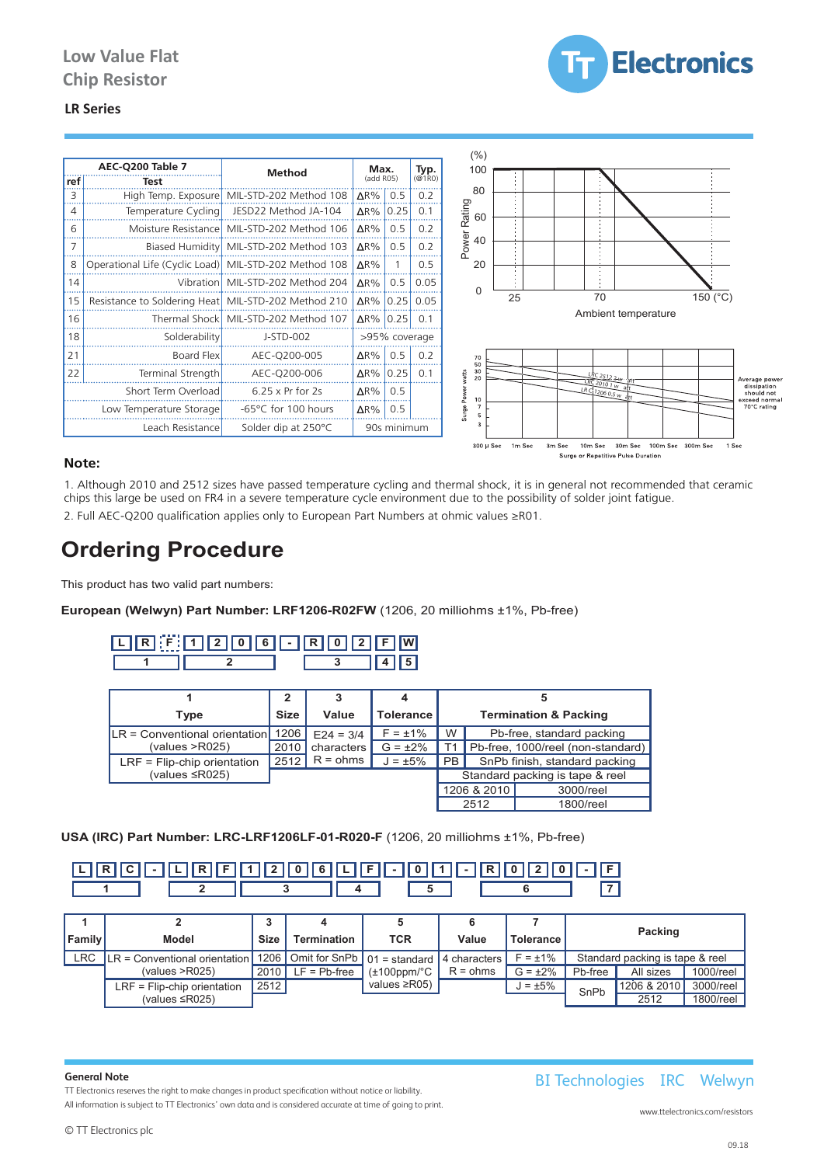

#### **LR Series LR Series LR2512** 3.7 7.75 1.5

|     | AEC-Q200 Table 7                                      | <b>Method</b>                              | Max.             |             | Typ.          | (% )<br>100       |                                                                          |
|-----|-------------------------------------------------------|--------------------------------------------|------------------|-------------|---------------|-------------------|--------------------------------------------------------------------------|
| ref | Test                                                  |                                            | (add R05)        |             | @1R0          |                   |                                                                          |
| 3   |                                                       | High Temp. Exposure MIL-STD-202 Method 108 | $\Delta$ R%      | 0.5         | 0.2           | 80                |                                                                          |
|     | Temperature Cycling                                   | JESD22 Method JA-104                       | $\Delta$ R%      | 0.25        | 0.1           | Rating<br>60      |                                                                          |
| 6   |                                                       | Moisture Resistance MIL-STD-202 Method 106 | $\Delta$ R%      | 0.5         | 0.2           |                   |                                                                          |
|     |                                                       | Biased Humidity MIL-STD-202 Method 103     | $\Delta$ R%      | 0.5         | 0.2           | Power<br>40       |                                                                          |
| 8   | Operational Life (Cyclic Load) MIL-STD-202 Method 108 |                                            | $\Delta$ R%      |             | 0.5           | 20                |                                                                          |
| 14  |                                                       | Vibration MIL-STD-202 Method 204           | $\Delta$ R%      | 0.5         | 0.05          | U                 |                                                                          |
| 15  | Resistance to Soldering Heat   MIL-STD-202 Method 210 |                                            | $\Delta$ R%      | 0.25        | 0.05          |                   | 70<br>25<br>150 (°C)                                                     |
| 16  |                                                       | Thermal Shock MIL-STD-202 Method 107       | $\Delta$ R% 0.25 |             | 0.1           |                   | Ambient temperature                                                      |
| 18  | Solderability                                         | J-STD-002                                  |                  |             | >95% coverage |                   |                                                                          |
| 21  | Board Flex                                            | AEC-0200-005                               | $\Delta$ R%      | 0.5         | 0.2           | 70<br>50          |                                                                          |
| 22  | Terminal Strength                                     | AEC-Q200-006                               | $\Delta$ R%      | 0.25        | 0.1           | 30<br>watts<br>20 | $LRC$ 2512 2w.<br>Average power                                          |
|     | Short Term Overload                                   | $6.25 \times Pr$ for 2s                    | $\Delta$ R%      | 0.5         |               | 10                | $R$ <sub>2010</sub> <sub>1W</sub><br>LRC 1206 0.5 w dtr<br>exceed normal |
|     | Low Temperature Storage                               | -65°C for 100 hours                        | ΔR%              | 0.5         |               | Surge Power       |                                                                          |
|     | Leach Resistance                                      | Solder dip at 250°C                        |                  | 90s minimum |               | n,                |                                                                          |

#### **Note:**

1. Although 2010 and 2512 sizes have passed temperature cycling and thermal shock, it is in general not recommended that ceramic chips this large be used on FR4 in a severe temperature cycle environment due to the possibility of solder joint fatigue. 2. Full AEC-Q200 qualification applies only to European Part Numbers at ohmic values ≥R01.

# **Ordering Procedure Ordering Procedure**

This product has two valid part numbers:  $\overline{\phantom{a}}$ 

#### **European (Welwyn) Part Number: LRF1206-R02FW** (1206, 20 milliohms ±1%, Pb-free)

| ses.<br>6<br>101.<br>2'<br>D | $\sim$         | II R I<br>ונים דו<br>$\sqrt{2}$ | <b>F</b> W       |                    |
|------------------------------|----------------|---------------------------------|------------------|--------------------|
|                              |                |                                 | 5                |                    |
|                              | ຳ              | 3                               |                  | 5                  |
| Type                         | <b>Size</b>    | Value                           | <b>Tolerance</b> | Termination        |
|                              | $\overline{a}$ |                                 | $  -$            | .<br>$- \cdot$ $-$ |

| Type                                   | <b>Size</b> | Value       | Tolerance     |           |             | <b>Termination &amp; Packing</b>  |
|----------------------------------------|-------------|-------------|---------------|-----------|-------------|-----------------------------------|
| $ LR  =$ Conventional orientation 1206 |             | $E24 = 3/4$ | $F = +1\%$    | W         |             | Pb-free, standard packing         |
| (values > R025)                        | 2010        | characters  | $G = \pm 2\%$ | T1.       |             | Pb-free, 1000/reel (non-standard) |
| $LRF =$ Flip-chip orientation          | $2512$      | $R = ohms$  | $J = \pm 5\%$ | <b>PB</b> |             | SnPb finish, standard packing     |
| (values $\leq$ R025)                   |             |             |               |           |             | Standard packing is tape & reel   |
|                                        |             |             |               |           | 1206 & 2010 | 3000/reel                         |
|                                        |             |             |               |           | 2512        | 1800/reel                         |

## **USA (IRC) Part Number: LRC-LRF1206LF-01-R020-F** (1206, 20 milliohms ±1%, Pb-free)



|               |                                                                                     |                      |                |              |       |                                       |                                 | Packing       |           |           |           |
|---------------|-------------------------------------------------------------------------------------|----------------------|----------------|--------------|-------|---------------------------------------|---------------------------------|---------------|-----------|-----------|-----------|
| <b>Family</b> | Model                                                                               | Size                 | Termination    | TCR          | Value | <b>Tolerance</b>                      |                                 |               |           |           |           |
| <b>LRC</b>    | $LR =$ Conventional orientation 1206   Omit for SnPb   01 = standard   4 characters |                      |                |              |       | $F = \pm 1\%$                         | Standard packing is tape & reel |               |           |           |           |
|               | (values > R025)                                                                     | $\vert$ 2010 $\vert$ | $LF = Pb-free$ |              |       | $\mathsf{I}$ (±100ppm/°C $\mathsf{I}$ | $R = ohms$                      | $G = \pm 2\%$ | Pb-free   | All sizes | 1000/reel |
|               | $LRF =$ Flip-chip orientation                                                       | 2512                 |                | values ≥R05) |       | $J = \pm 5\%$                         | SnPb                            | 1206 & 2010   | 3000/reel |           |           |
|               | (values $\leq$ R025)                                                                |                      |                |              |       |                                       |                                 | 2512          | 1800/reel |           |           |

#### **General Note**<br> **Electrical Note General Note**

TT Electronics reserves the right to make changes in product specification without notice or liability. All information is subject to TT Electronics' own data and is considered accurate at time of going to print.<br>Www.t

### BI Technologies IRC Welwyn